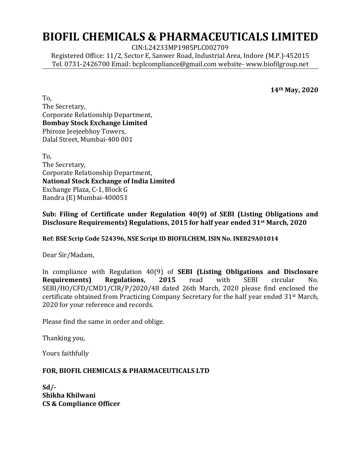## **BIOFIL CHEMICALS & PHARMACEUTICALS LIMITED**

CIN:L24233MP1985PLC002709

Registered Office: 11/2, Sector E, Sanwer Road, Industrial Area, Indore (M.P.)-452015 Tel. 0731-2426700 Email: bcplcompliance@gmail.com website- www.biofilgroup.net

**14th May, 2020**

To, The Secretary, Corporate Relationship Department, **Bombay Stock Exchange Limited**  Phiroze Jeejeebhoy Towers, Dalal Street, Mumbai-400 001

To, The Secretary, Corporate Relationship Department, **National Stock Exchange of India Limited**  Exchange Plaza, C-1, Block G Bandra (E) Mumbai-400051

**Sub: Filing of Certificate under Regulation 40(9) of SEBI (Listing Obligations and Disclosure Requirements) Regulations, 2015 for half year ended 31st March, 2020**

**Ref: BSE Scrip Code 524396, NSE Script ID BIOFILCHEM, ISIN No. INE829A01014**

Dear Sir/Madam,

In compliance with Regulation 40(9) of **SEBI (Listing Obligations and Disclosure Requirements) Regulations, 2015** read with SEBI circular No. SEBI/HO/CFD/CMD1/CIR/P/2020/48 dated 26th March, 2020 please find enclosed the certificate obtained from Practicing Company Secretary for the half year ended 31st March, 2020 for your reference and records.

Please find the same in order and oblige.

Thanking you,

Yours faithfully

## **FOR, BIOFIL CHEMICALS & PHARMACEUTICALS LTD**

**Sd/- Shikha Khilwani CS & Compliance Officer**